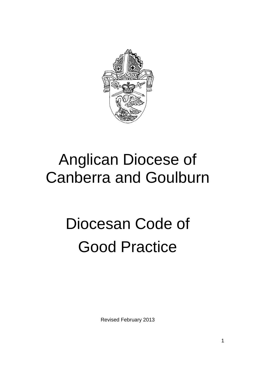

# Anglican Diocese of Canberra and Goulburn

# Diocesan Code of Good Practice

Revised February 2013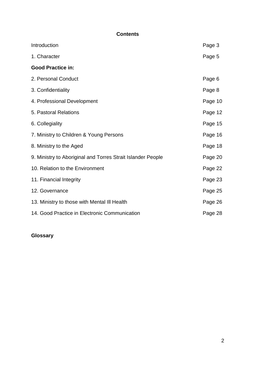# **Contents**

| Introduction                                                | Page 3  |
|-------------------------------------------------------------|---------|
| 1. Character                                                | Page 5  |
| <b>Good Practice in:</b>                                    |         |
| 2. Personal Conduct                                         | Page 6  |
| 3. Confidentiality                                          | Page 8  |
| 4. Professional Development                                 | Page 10 |
| 5. Pastoral Relations                                       | Page 12 |
| 6. Collegiality                                             | Page 15 |
| 7. Ministry to Children & Young Persons                     | Page 16 |
| 8. Ministry to the Aged                                     | Page 18 |
| 9. Ministry to Aboriginal and Torres Strait Islander People | Page 20 |
| 10. Relation to the Environment                             | Page 22 |
| 11. Financial Integrity                                     | Page 23 |
| 12. Governance                                              | Page 25 |
| 13. Ministry to those with Mental III Health                | Page 26 |
| 14. Good Practice in Electronic Communication               | Page 28 |

# **Glossary**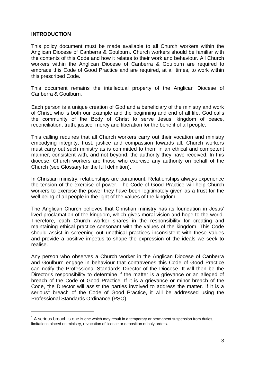#### **INTRODUCTION**

1

This policy document must be made available to all Church workers within the Anglican Diocese of Canberra & Goulburn. Church workers should be familiar with the contents of this Code and how it relates to their work and behaviour. All Church workers within the Anglican Diocese of Canberra & Goulburn are required to embrace this Code of Good Practice and are required, at all times, to work within this prescribed Code.

This document remains the intellectual property of the Anglican Diocese of Canberra & Goulburn.

Each person is a unique creation of God and a beneficiary of the ministry and work of Christ, who is both our example and the beginning and end of all life. God calls the community of the Body of Christ to serve Jesus' kingdom of peace, reconciliation, truth, justice, mercy and liberation for the benefit of all people.

This calling requires that all Church workers carry out their vocation and ministry embodying integrity, trust, justice and compassion towards all. Church workers must carry out such ministry as is committed to them in an ethical and competent manner, consistent with, and not beyond, the authority they have received. In this diocese, Church workers are those who exercise any authority on behalf of the Church (see Glossary for the full definition).

In Christian ministry, relationships are paramount. Relationships always experience the tension of the exercise of power. The Code of Good Practice will help Church workers to exercise the power they have been legitimately given as a trust for the well being of all people in the light of the values of the kingdom.

The Anglican Church believes that Christian ministry has its foundation in Jesus' lived proclamation of the kingdom, which gives moral vision and hope to the world. Therefore, each Church worker shares in the responsibility for creating and maintaining ethical practice consonant with the values of the kingdom. This Code should assist in screening out unethical practices inconsistent with these values and provide a positive impetus to shape the expression of the ideals we seek to realise.

Any person who observes a Church worker in the Anglican Diocese of Canberra and Goulburn engage in behaviour that contravenes this Code of Good Practice can notify the Professional Standards Director of the Diocese. It will then be the Director's responsibility to determine if the matter is a grievance or an alleged of breach of the Code of Good Practice. If it is a grievance or minor breach of the Code, the Director will assist the parties involved to address the matter. If it is a serious<sup>1</sup> breach of the Code of Good Practice, it will be addressed using the Professional Standards Ordinance (PSO).

 $1$  A serious breach is one is one which may result in a temporary or permanent suspension from duties, limitations placed on ministry, revocation of licence or deposition of holy orders.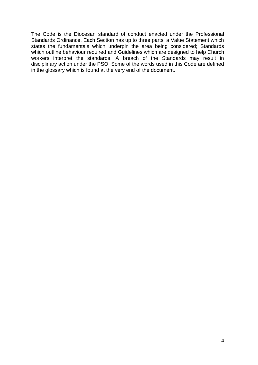The Code is the Diocesan standard of conduct enacted under the Professional Standards Ordinance. Each Section has up to three parts: a Value Statement which states the fundamentals which underpin the area being considered; Standards which outline behaviour required and Guidelines which are designed to help Church workers interpret the standards. A breach of the Standards may result in disciplinary action under the PSO. Some of the words used in this Code are defined in the glossary which is found at the very end of the document.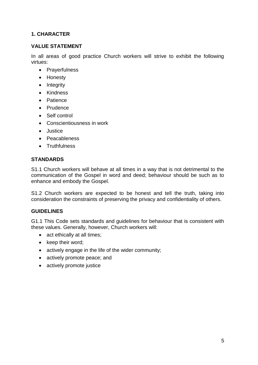# **1. CHARACTER**

# **VALUE STATEMENT**

In all areas of good practice Church workers will strive to exhibit the following virtues:

- Prayerfulness
- Honesty
- Integrity
- Kindness
- Patience
- Prudence
- Self control
- Conscientiousness in work
- **.** Justice
- Peacableness
- **•** Truthfulness

# **STANDARDS**

S1.1 Church workers will behave at all times in a way that is not detrimental to the communication of the Gospel in word and deed; behaviour should be such as to enhance and embody the Gospel.

S1.2 Church workers are expected to be honest and tell the truth, taking into consideration the constraints of preserving the privacy and confidentiality of others.

# **GUIDELINES**

G1.1 This Code sets standards and guidelines for behaviour that is consistent with these values. Generally, however, Church workers will:

- act ethically at all times;
- keep their word;
- actively engage in the life of the wider community;
- actively promote peace; and
- actively promote justice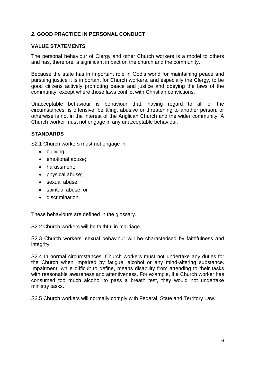# **2. GOOD PRACTICE IN PERSONAL CONDUCT**

#### **VALUE STATEMENTS**

The personal behaviour of Clergy and other Church workers is a model to others and has, therefore, a significant impact on the church and the community.

Because the state has in important role in God's world for maintaining peace and pursuing justice it is important for Church workers, and especially the Clergy, to be good citizens actively promoting peace and justice and obeying the laws of the community, except where those laws conflict with Christian convictions.

Unacceptable behaviour is behaviour that, having regard to all of the circumstances, is offensive, belittling, abusive or threatening to another person, or otherwise is not in the interest of the Anglican Church and the wider community. A Church worker must not engage in any unacceptable behaviour.

# **STANDARDS**

S2.1 Church workers must not engage in:

- bullying;
- emotional abuse;
- harassment:
- physical abuse;
- sexual abuse;
- spiritual abuse; or
- discrimination.

These behaviours are defined in the glossary.

S2.2 Church workers will be faithful in marriage.

S2.3 Church workers' sexual behaviour will be characterised by faithfulness and integrity.

S2.4 In normal circumstances, Church workers must not undertake any duties for the Church when impaired by fatigue, alcohol or any mind-altering substance. Impairment, while difficult to define, means disability from attending to their tasks with reasonable awareness and attentiveness. For example, if a Church worker has consumed too much alcohol to pass a breath test, they would not undertake ministry tasks.

S2.5 Church workers will normally comply with Federal, State and Territory Law.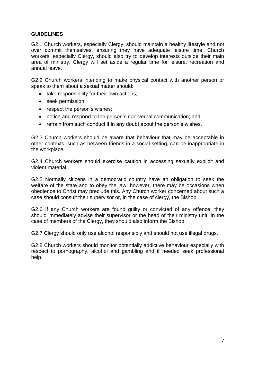# **GUIDELINES**

G2.1 Church workers, especially Clergy, should maintain a healthy lifestyle and not over commit themselves, ensuring they have adequate leisure time. Church workers, especially Clergy, should also try to develop interests outside their main area of ministry. Clergy will set aside a regular time for leisure, recreation and annual leave.

G2.2 Church workers intending to make physical contact with another person or speak to them about a sexual matter should:

- take responsibility for their own actions;
- seek permission;
- respect the person's wishes;
- notice and respond to the person's non-verbal communication; and
- refrain from such conduct if in any doubt about the person's wishes.

G2.3 Church workers should be aware that behaviour that may be acceptable in other contexts, such as between friends in a social setting, can be inappropriate in the workplace.

G2.4 Church workers should exercise caution in accessing sexually explicit and violent material.

G2.5 Normally citizens in a democratic country have an obligation to seek the welfare of the state and to obey the law, however, there may be occasions when obedience to Christ may preclude this. Any Church worker concerned about such a case should consult their supervisor or, in the case of clergy, the Bishop.

G2.6 If any Church workers are found guilty or convicted of any offence, they should immediately advise their supervisor or the head of their ministry unit. In the case of members of the Clergy, they should also inform the Bishop.

G2.7 Clergy should only use alcohol responsibly and should not use illegal drugs.

G2.8 Church workers should monitor potentially addictive behaviour especially with respect to pornography, alcohol and gambling and if needed seek professional help.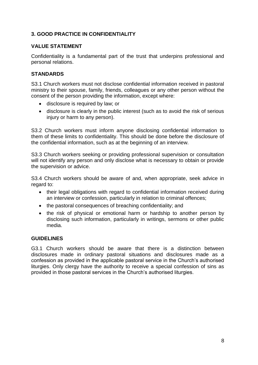# **3. GOOD PRACTICE IN CONFIDENTIALITY**

### **VALUE STATEMENT**

Confidentiality is a fundamental part of the trust that underpins professional and personal relations.

# **STANDARDS**

S3.1 Church workers must not disclose confidential information received in pastoral ministry to their spouse, family, friends, colleagues or any other person without the consent of the person providing the information, except where:

- disclosure is required by law; or
- disclosure is clearly in the public interest (such as to avoid the risk of serious injury or harm to any person).

S3.2 Church workers must inform anyone disclosing confidential information to them of these limits to confidentiality. This should be done before the disclosure of the confidential information, such as at the beginning of an interview.

S3.3 Church workers seeking or providing professional supervision or consultation will not identify any person and only disclose what is necessary to obtain or provide the supervision or advice.

S3.4 Church workers should be aware of and, when appropriate, seek advice in regard to:

- their legal obligations with regard to confidential information received during an interview or confession, particularly in relation to criminal offences;
- the pastoral consequences of breaching confidentiality; and
- the risk of physical or emotional harm or hardship to another person by disclosing such information, particularly in writings, sermons or other public media.

# **GUIDELINES**

G3.1 Church workers should be aware that there is a distinction between disclosures made in ordinary pastoral situations and disclosures made as a confession as provided in the applicable pastoral service in the Church's authorised liturgies. Only clergy have the authority to receive a special confession of sins as provided in those pastoral services in the Church's authorised liturgies.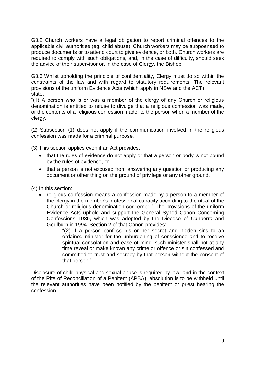G3.2 Church workers have a legal obligation to report criminal offences to the applicable civil authorities (eg. child abuse). Church workers may be subpoenaed to produce documents or to attend court to give evidence, or both. Church workers are required to comply with such obligations, and, in the case of difficulty, should seek the advice of their supervisor or, in the case of Clergy, the Bishop.

G3.3 Whilst upholding the principle of confidentiality, Clergy must do so within the constraints of the law and with regard to statutory requirements. The relevant provisions of the uniform Evidence Acts (which apply in NSW and the ACT) state:

"(1) A person who is or was a member of the clergy of any Church or religious denomination is entitled to refuse to divulge that a religious confession was made, or the contents of a religious confession made, to the person when a member of the clergy.

(2) Subsection (1) does not apply if the communication involved in the religious confession was made for a criminal purpose.

(3) This section applies even if an Act provides:

- that the rules of evidence do not apply or that a person or body is not bound by the rules of evidence, or
- that a person is not excused from answering any question or producing any document or other thing on the ground of privilege or any other ground.

(4) In this section:

 religious confession means a confession made by a person to a member of the clergy in the member's professional capacity according to the ritual of the Church or religious denomination concerned." The provisions of the uniform Evidence Acts uphold and support the General Synod Canon Concerning Confessions 1989, which was adopted by the Diocese of Canberra and Goulburn in 1994. Section 2 of that Canon provides:

"(2) If a person confess his or her secret and hidden sins to an ordained minister for the unburdening of conscience and to receive spiritual consolation and ease of mind, such minister shall not at any time reveal or make known any crime or offence or sin confessed and committed to trust and secrecy by that person without the consent of that person."

Disclosure of child physical and sexual abuse is required by law; and in the context of the Rite of Reconciliation of a Penitent (APBA), absolution is to be withheld until the relevant authorities have been notified by the penitent or priest hearing the confession.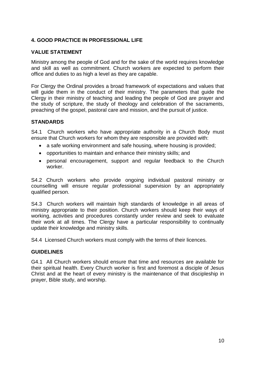# **4. GOOD PRACTICE IN PROFESSIONAL LIFE**

#### **VALUE STATEMENT**

Ministry among the people of God and for the sake of the world requires knowledge and skill as well as commitment. Church workers are expected to perform their office and duties to as high a level as they are capable.

For Clergy the Ordinal provides a broad framework of expectations and values that will guide them in the conduct of their ministry. The parameters that guide the Clergy in their ministry of teaching and leading the people of God are prayer and the study of scripture, the study of theology and celebration of the sacraments, preaching of the gospel, pastoral care and mission, and the pursuit of justice.

#### **STANDARDS**

S4.1 Church workers who have appropriate authority in a Church Body must ensure that Church workers for whom they are responsible are provided with:

- a safe working environment and safe housing, where housing is provided:
- opportunities to maintain and enhance their ministry skills; and
- personal encouragement, support and regular feedback to the Church worker.

S4.2 Church workers who provide ongoing individual pastoral ministry or counselling will ensure regular professional supervision by an appropriately qualified person.

S4.3 Church workers will maintain high standards of knowledge in all areas of ministry appropriate to their position. Church workers should keep their ways of working, activities and procedures constantly under review and seek to evaluate their work at all times. The Clergy have a particular responsibility to continually update their knowledge and ministry skills.

S4.4 Licensed Church workers must comply with the terms of their licences.

#### **GUIDELINES**

G4.1 All Church workers should ensure that time and resources are available for their spiritual health. Every Church worker is first and foremost a disciple of Jesus Christ and at the heart of every ministry is the maintenance of that discipleship in prayer, Bible study, and worship.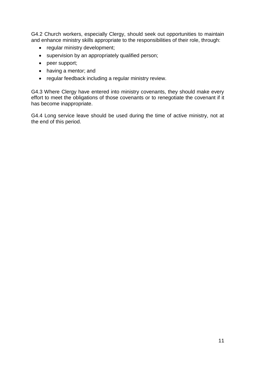G4.2 Church workers, especially Clergy, should seek out opportunities to maintain and enhance ministry skills appropriate to the responsibilities of their role, through:

- regular ministry development;
- supervision by an appropriately qualified person;
- peer support;
- having a mentor; and
- regular feedback including a regular ministry review.

G4.3 Where Clergy have entered into ministry covenants, they should make every effort to meet the obligations of those covenants or to renegotiate the covenant if it has become inappropriate.

G4.4 Long service leave should be used during the time of active ministry, not at the end of this period.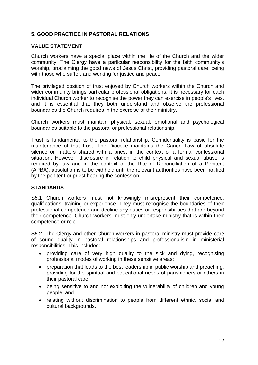# **5. GOOD PRACTICE IN PASTORAL RELATIONS**

#### **VALUE STATEMENT**

Church workers have a special place within the life of the Church and the wider community. The Clergy have a particular responsibility for the faith community's worship, proclaiming the good news of Jesus Christ, providing pastoral care, being with those who suffer, and working for justice and peace.

The privileged position of trust enjoyed by Church workers within the Church and wider community brings particular professional obligations. It is necessary for each individual Church worker to recognise the power they can exercise in people's lives, and it is essential that they both understand and observe the professional boundaries the Church requires in the exercise of their ministry.

Church workers must maintain physical, sexual, emotional and psychological boundaries suitable to the pastoral or professional relationship.

Trust is fundamental to the pastoral relationship. Confidentiality is basic for the maintenance of that trust. The Diocese maintains the Canon Law of absolute silence on matters shared with a priest in the context of a formal confessional situation. However, disclosure in relation to child physical and sexual abuse is required by law and in the context of the Rite of Reconciliation of a Penitent (APBA), absolution is to be withheld until the relevant authorities have been notified by the penitent or priest hearing the confession.

# **STANDARDS**

S5.1 Church workers must not knowingly misrepresent their competence, qualifications, training or experience. They must recognise the boundaries of their professional competence and decline any duties or responsibilities that are beyond their competence. Church workers must only undertake ministry that is within their competence or role.

S5.2 The Clergy and other Church workers in pastoral ministry must provide care of sound quality in pastoral relationships and professionalism in ministerial responsibilities. This includes:

- providing care of very high quality to the sick and dying, recognising professional modes of working in these sensitive areas;
- preparation that leads to the best leadership in public worship and preaching; providing for the spiritual and educational needs of parishioners or others in their pastoral care;
- being sensitive to and not exploiting the vulnerability of children and young people; and
- relating without discrimination to people from different ethnic, social and cultural backgrounds.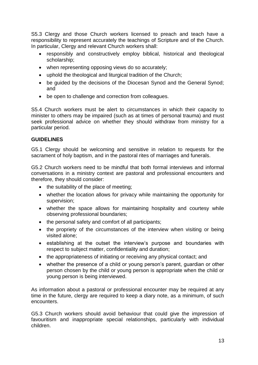S5.3 Clergy and those Church workers licensed to preach and teach have a responsibility to represent accurately the teachings of Scripture and of the Church. In particular, Clergy and relevant Church workers shall:

- responsibly and constructively employ biblical, historical and theological scholarship;
- when representing opposing views do so accurately;
- uphold the theological and liturgical tradition of the Church;
- be guided by the decisions of the Diocesan Synod and the General Synod; and
- be open to challenge and correction from colleagues.

S5.4 Church workers must be alert to circumstances in which their capacity to minister to others may be impaired (such as at times of personal trauma) and must seek professional advice on whether they should withdraw from ministry for a particular period.

# **GUIDELINES**

G5.1 Clergy should be welcoming and sensitive in relation to requests for the sacrament of holy baptism, and in the pastoral rites of marriages and funerals.

G5.2 Church workers need to be mindful that both formal interviews and informal conversations in a ministry context are pastoral and professional encounters and therefore, they should consider:

- the suitability of the place of meeting;
- whether the location allows for privacy while maintaining the opportunity for supervision;
- whether the space allows for maintaining hospitality and courtesy while observing professional boundaries;
- the personal safety and comfort of all participants;
- the propriety of the circumstances of the interview when visiting or being visited alone;
- establishing at the outset the interview's purpose and boundaries with respect to subject matter, confidentiality and duration;
- the appropriateness of initiating or receiving any physical contact: and
- whether the presence of a child or young person's parent, guardian or other person chosen by the child or young person is appropriate when the child or young person is being interviewed.

As information about a pastoral or professional encounter may be required at any time in the future, clergy are required to keep a diary note, as a minimum, of such encounters.

G5.3 Church workers should avoid behaviour that could give the impression of favouritism and inappropriate special relationships, particularly with individual children.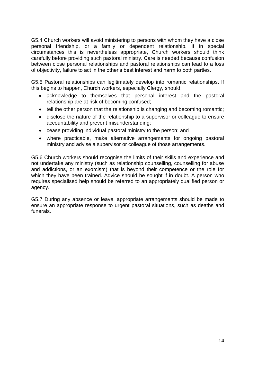G5.4 Church workers will avoid ministering to persons with whom they have a close personal friendship, or a family or dependent relationship. If in special circumstances this is nevertheless appropriate, Church workers should think carefully before providing such pastoral ministry. Care is needed because confusion between close personal relationships and pastoral relationships can lead to a loss of objectivity, failure to act in the other's best interest and harm to both parties.

G5.5 Pastoral relationships can legitimately develop into romantic relationships. If this begins to happen, Church workers, especially Clergy, should;

- acknowledge to themselves that personal interest and the pastoral relationship are at risk of becoming confused;
- tell the other person that the relationship is changing and becoming romantic;
- disclose the nature of the relationship to a supervisor or colleague to ensure accountability and prevent misunderstanding;
- cease providing individual pastoral ministry to the person; and
- where practicable, make alternative arrangements for ongoing pastoral ministry and advise a supervisor or colleague of those arrangements.

G5.6 Church workers should recognise the limits of their skills and experience and not undertake any ministry (such as relationship counselling, counselling for abuse and addictions, or an exorcism) that is beyond their competence or the role for which they have been trained. Advice should be sought if in doubt. A person who requires specialised help should be referred to an appropriately qualified person or agency.

G5.7 During any absence or leave, appropriate arrangements should be made to ensure an appropriate response to urgent pastoral situations, such as deaths and funerals.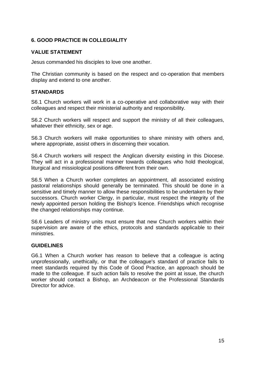# **6. GOOD PRACTICE IN COLLEGIALITY**

### **VALUE STATEMENT**

Jesus commanded his disciples to love one another.

The Christian community is based on the respect and co-operation that members display and extend to one another.

#### **STANDARDS**

S6.1 Church workers will work in a co-operative and collaborative way with their colleagues and respect their ministerial authority and responsibility.

S6.2 Church workers will respect and support the ministry of all their colleagues, whatever their ethnicity, sex or age.

S6.3 Church workers will make opportunities to share ministry with others and, where appropriate, assist others in discerning their vocation.

S6.4 Church workers will respect the Anglican diversity existing in this Diocese. They will act in a professional manner towards colleagues who hold theological, liturgical and missiological positions different from their own.

S6.5 When a Church worker completes an appointment, all associated existing pastoral relationships should generally be terminated. This should be done in a sensitive and timely manner to allow these responsibilities to be undertaken by their successors. Church worker Clergy, in particular, must respect the integrity of the newly appointed person holding the Bishop's licence. Friendships which recognise the changed relationships may continue.

S6.6 Leaders of ministry units must ensure that new Church workers within their supervision are aware of the ethics, protocols and standards applicable to their ministries.

#### **GUIDELINES**

G6.1 When a Church worker has reason to believe that a colleague is acting unprofessionally, unethically, or that the colleague's standard of practice fails to meet standards required by this Code of Good Practice, an approach should be made to the colleague. If such action fails to resolve the point at issue, the church worker should contact a Bishop, an Archdeacon or the Professional Standards Director for advice.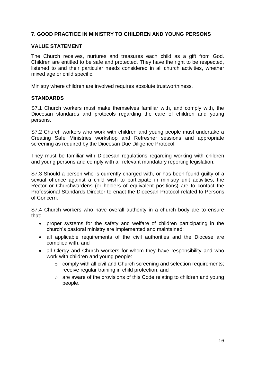# **7. GOOD PRACTICE IN MINISTRY TO CHILDREN AND YOUNG PERSONS**

#### **VALUE STATEMENT**

The Church receives, nurtures and treasures each child as a gift from God. Children are entitled to be safe and protected. They have the right to be respected, listened to and their particular needs considered in all church activities, whether mixed age or child specific.

Ministry where children are involved requires absolute trustworthiness.

#### **STANDARDS**

S7.1 Church workers must make themselves familiar with, and comply with, the Diocesan standards and protocols regarding the care of children and young persons.

S7.2 Church workers who work with children and young people must undertake a Creating Safe Ministries workshop and Refresher sessions and appropriate screening as required by the Diocesan Due Diligence Protocol.

They must be familiar with Diocesan regulations regarding working with children and young persons and comply with all relevant mandatory reporting legislation.

S7.3 Should a person who is currently charged with, or has been found guilty of a sexual offence against a child wish to participate in ministry unit activities, the Rector or Churchwardens (or holders of equivalent positions) are to contact the Professional Standards Director to enact the Diocesan Protocol related to Persons of Concern.

S7.4 Church workers who have overall authority in a church body are to ensure that:

- proper systems for the safety and welfare of children participating in the church's pastoral ministry are implemented and maintained;
- all applicable requirements of the civil authorities and the Diocese are complied with; and
- all Clergy and Church workers for whom they have responsibility and who work with children and young people:
	- o comply with all civil and Church screening and selection requirements; receive regular training in child protection; and
	- o are aware of the provisions of this Code relating to children and young people.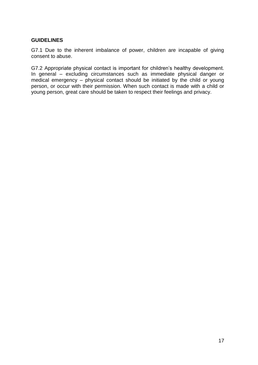#### **GUIDELINES**

G7.1 Due to the inherent imbalance of power, children are incapable of giving consent to abuse.

G7.2 Appropriate physical contact is important for children's healthy development. In general – excluding circumstances such as immediate physical danger or medical emergency – physical contact should be initiated by the child or young person, or occur with their permission. When such contact is made with a child or young person, great care should be taken to respect their feelings and privacy.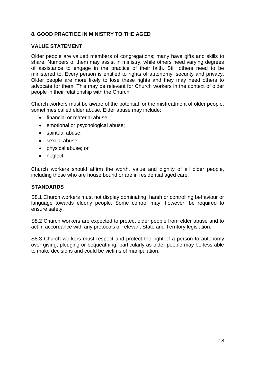# **8. GOOD PRACTICE IN MINISTRY TO THE AGED**

#### **VALUE STATEMENT**

Older people are valued members of congregations; many have gifts and skills to share. Numbers of them may assist in ministry, while others need varying degrees of assistance to engage in the practice of their faith. Still others need to be ministered to. Every person is entitled to rights of autonomy, security and privacy. Older people are more likely to lose these rights and they may need others to advocate for them. This may be relevant for Church workers in the context of older people in their relationship with the Church.

Church workers must be aware of the potential for the mistreatment of older people, sometimes called elder abuse. Elder abuse may include:

- financial or material abuse:
- emotional or psychological abuse;
- spiritual abuse;
- sexual abuse:
- physical abuse; or
- neglect.

Church workers should affirm the worth, value and dignity of all older people, including those who are house bound or are in residential aged care.

# **STANDARDS**

S8.1 Church workers must not display dominating, harsh or controlling behaviour or language towards elderly people. Some control may, however, be required to ensure safety.

S8.2 Church workers are expected to protect older people from elder abuse and to act in accordance with any protocols or relevant State and Territory legislation.

S8.3 Church workers must respect and protect the right of a person to autonomy over giving, pledging or bequeathing, particularly as older people may be less able to make decisions and could be victims of manipulation.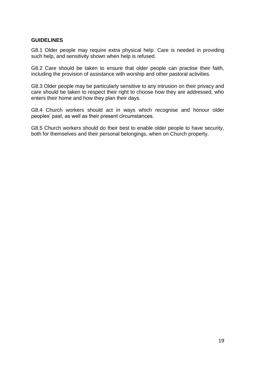#### **GUIDELINES**

G8.1 Older people may require extra physical help. Care is needed in providing such help, and sensitivity shown when help is refused.

G8.2 Care should be taken to ensure that older people can practise their faith, including the provision of assistance with worship and other pastoral activities.

G8.3 Older people may be particularly sensitive to any intrusion on their privacy and care should be taken to respect their right to choose how they are addressed, who enters their home and how they plan their days.

G8.4 Church workers should act in ways which recognise and honour older peoples' past, as well as their present circumstances.

G8.5 Church workers should do their best to enable older people to have security, both for themselves and their personal belongings, when on Church property.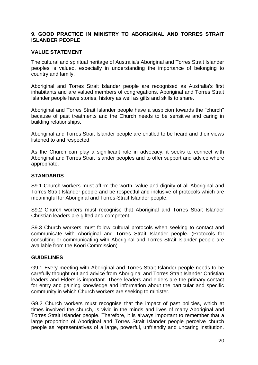#### **9. GOOD PRACTICE IN MINISTRY TO ABORIGINAL AND TORRES STRAIT ISLANDER PEOPLE**

# **VALUE STATEMENT**

The cultural and spiritual heritage of Australia's Aboriginal and Torres Strait Islander peoples is valued, especially in understanding the importance of belonging to country and family.

Aboriginal and Torres Strait Islander people are recognised as Australia's first inhabitants and are valued members of congregations. Aboriginal and Torres Strait Islander people have stories, history as well as gifts and skills to share.

Aboriginal and Torres Strait Islander people have a suspicion towards the "church" because of past treatments and the Church needs to be sensitive and caring in building relationships.

Aboriginal and Torres Strait Islander people are entitled to be heard and their views listened to and respected.

As the Church can play a significant role in advocacy, it seeks to connect with Aboriginal and Torres Strait Islander peoples and to offer support and advice where appropriate.

#### **STANDARDS**

S9.1 Church workers must affirm the worth, value and dignity of all Aboriginal and Torres Strait Islander people and be respectful and inclusive of protocols which are meaningful for Aboriginal and Torres-Strait Islander people.

S9.2 Church workers must recognise that Aboriginal and Torres Strait Islander Christian leaders are gifted and competent.

S9.3 Church workers must follow cultural protocols when seeking to contact and communicate with Aboriginal and Torres Strait Islander people. (Protocols for consulting or communicating with Aboriginal and Torres Strait Islander people are available from the Koori Commission)

#### **GUIDELINES**

G9.1 Every meeting with Aboriginal and Torres Strait Islander people needs to be carefully thought out and advice from Aboriginal and Torres Strait Islander Christian leaders and Elders is important. These leaders and elders are the primary contact for entry and gaining knowledge and information about the particular and specific community in which Church workers are seeking to minister.

G9.2 Church workers must recognise that the impact of past policies, which at times involved the church, is vivid in the minds and lives of many Aboriginal and Torres Strait Islander people. Therefore, it is always important to remember that a large proportion of Aboriginal and Torres Strait Islander people perceive church people as representatives of a large, powerful, unfriendly and uncaring institution.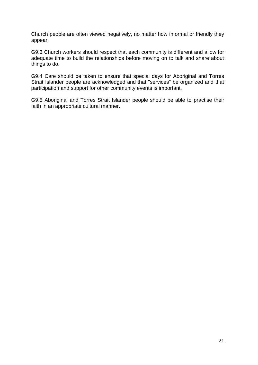Church people are often viewed negatively, no matter how informal or friendly they appear.

G9.3 Church workers should respect that each community is different and allow for adequate time to build the relationships before moving on to talk and share about things to do.

G9.4 Care should be taken to ensure that special days for Aboriginal and Torres Strait Islander people are acknowledged and that "services" be organized and that participation and support for other community events is important.

G9.5 Aboriginal and Torres Strait Islander people should be able to practise their faith in an appropriate cultural manner.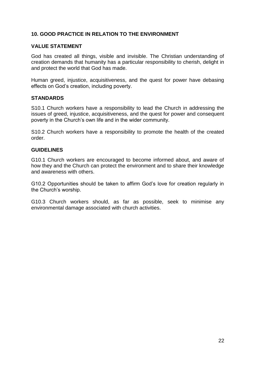# **10. GOOD PRACTICE IN RELATION TO THE ENVIRONMENT**

#### **VALUE STATEMENT**

God has created all things, visible and invisible. The Christian understanding of creation demands that humanity has a particular responsibility to cherish, delight in and protect the world that God has made.

Human greed, injustice, acquisitiveness, and the quest for power have debasing effects on God's creation, including poverty.

#### **STANDARDS**

S10.1 Church workers have a responsibility to lead the Church in addressing the issues of greed, injustice, acquisitiveness, and the quest for power and consequent poverty in the Church's own life and in the wider community.

S10.2 Church workers have a responsibility to promote the health of the created order.

#### **GUIDELINES**

G10.1 Church workers are encouraged to become informed about, and aware of how they and the Church can protect the environment and to share their knowledge and awareness with others.

G10.2 Opportunities should be taken to affirm God's love for creation regularly in the Church's worship.

G10.3 Church workers should, as far as possible, seek to minimise any environmental damage associated with church activities.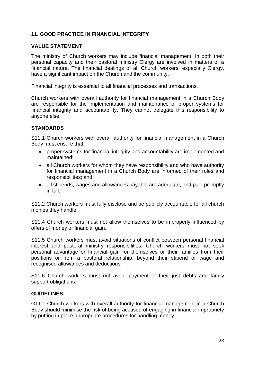# **11. GOOD PRACTICE IN FINANCIAL INTEGRITY**

#### **VALUE STATEMENT**

The ministry of Church workers may include financial management. In both their personal capacity and their pastoral ministry Clergy are involved in matters of a financial nature. The financial dealings of all Church workers, especially Clergy, have a significant impact on the Church and the community.

Financial integrity is essential to all financial processes and transactions.

Church workers with overall authority for financial management in a Church Body are responsible for the implementation and maintenance of proper systems for financial integrity and accountability. They cannot delegate this responsibility to anyone else.

# **STANDARDS**

S11.1 Church workers with overall authority for financial management in a Church Body must ensure that:

- proper systems for financial integrity and accountability are implemented and maintained;
- all Church workers for whom they have responsibility and who have authority for financial management in a Church Body are informed of their roles and responsibilities; and
- all stipends, wages and allowances payable are adequate, and paid promptly in full.

S11.2 Church workers must fully disclose and be publicly accountable for all church monies they handle.

S11.4 Church workers must not allow themselves to be improperly influenced by offers of money or financial gain.

S11.5 Church workers must avoid situations of conflict between personal financial interest and pastoral ministry responsibilities. Church workers must not seek personal advantage or financial gain for themselves or their families from their positions or from a pastoral relationship, beyond their stipend or wage and recognised allowances and deductions.

S11.6 Church workers must not avoid payment of their just debts and family support obligations.

#### **GUIDELINES:**

G11.1 Church workers with overall authority for financial management in a Church Body should minimise the risk of being accused of engaging in financial impropriety by putting in place appropriate procedures for handling money.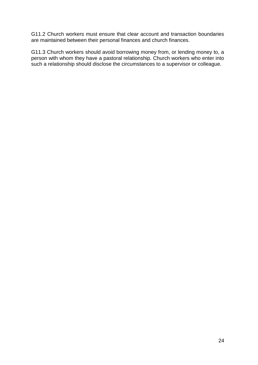G11.2 Church workers must ensure that clear account and transaction boundaries are maintained between their personal finances and church finances.

G11.3 Church workers should avoid borrowing money from, or lending money to, a person with whom they have a pastoral relationship. Church workers who enter into such a relationship should disclose the circumstances to a supervisor or colleague.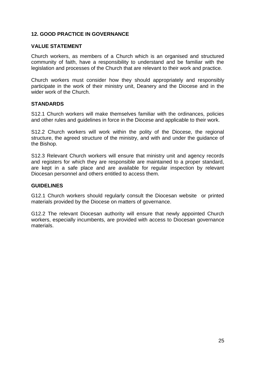# **12. GOOD PRACTICE IN GOVERNANCE**

#### **VALUE STATEMENT**

Church workers, as members of a Church which is an organised and structured community of faith, have a responsibility to understand and be familiar with the legislation and processes of the Church that are relevant to their work and practice.

Church workers must consider how they should appropriately and responsibly participate in the work of their ministry unit, Deanery and the Diocese and in the wider work of the Church.

#### **STANDARDS**

S12.1 Church workers will make themselves familiar with the ordinances, policies and other rules and guidelines in force in the Diocese and applicable to their work.

S12.2 Church workers will work within the polity of the Diocese, the regional structure, the agreed structure of the ministry, and with and under the guidance of the Bishop.

S12.3 Relevant Church workers will ensure that ministry unit and agency records and registers for which they are responsible are maintained to a proper standard, are kept in a safe place and are available for regular inspection by relevant Diocesan personnel and others entitled to access them.

#### **GUIDELINES**

G12.1 Church workers should regularly consult the Diocesan website or printed materials provided by the Diocese on matters of governance.

G12.2 The relevant Diocesan authority will ensure that newly appointed Church workers, especially incumbents, are provided with access to Diocesan governance materials.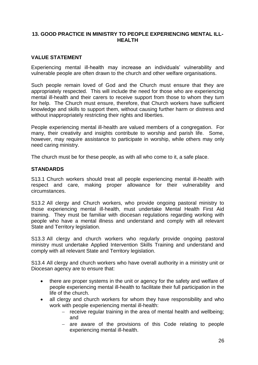#### **13. GOOD PRACTICE IN MINISTRY TO PEOPLE EXPERIENCING MENTAL ILL-HEALTH**

### **VALUE STATEMENT**

Experiencing mental ill-health may increase an individuals' vulnerability and vulnerable people are often drawn to the church and other welfare organisations.

Such people remain loved of God and the Church must ensure that they are appropriately respected. This will include the need for those who are experiencing mental ill-health and their carers to receive support from those to whom they turn for help. The Church must ensure, therefore, that Church workers have sufficient knowledge and skills to support them, without causing further harm or distress and without inappropriately restricting their rights and liberties.

People experiencing mental ill-health are valued members of a congregation. For many, their creativity and insights contribute to worship and parish life. Some, however, may require assistance to participate in worship, while others may only need caring ministry.

The church must be for these people, as with all who come to it, a safe place.

#### **STANDARDS**

S13.1 Church workers should treat all people experiencing mental ill-health with respect and care, making proper allowance for their vulnerability and circumstances.

S13.2 All clergy and Church workers, who provide ongoing pastoral ministry to those experiencing mental ill-health, must undertake Mental Health First Aid training. They must be familiar with diocesan regulations regarding working with people who have a mental illness and understand and comply with all relevant State and Territory legislation.

S13.3 All clergy and church workers who regularly provide ongoing pastoral ministry must undertake Applied Intervention Skills Training and understand and comply with all relevant State and Territory legislation.

S13.4 All clergy and church workers who have overall authority in a ministry unit or Diocesan agency are to ensure that:

- there are proper systems in the unit or agency for the safety and welfare of people experiencing mental ill-health to facilitate their full participation in the life of the church.
- all clergy and church workers for whom they have responsibility and who work with people experiencing mental ill-health:
	- $-$  receive regular training in the area of mental health and wellbeing; and
	- are aware of the provisions of this Code relating to people experiencing mental ill-health.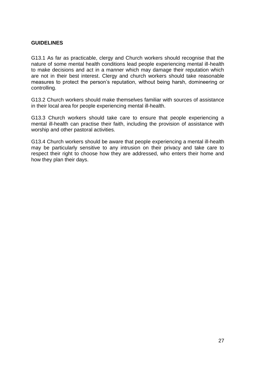### **GUIDELINES**

G13.1 As far as practicable, clergy and Church workers should recognise that the nature of some mental health conditions lead people experiencing mental ill-health to make decisions and act in a manner which may damage their reputation which are not in their best interest. Clergy and church workers should take reasonable measures to protect the person's reputation, without being harsh, domineering or controlling.

G13.2 Church workers should make themselves familiar with sources of assistance in their local area for people experiencing mental ill-health.

G13.3 Church workers should take care to ensure that people experiencing a mental ill-health can practise their faith, including the provision of assistance with worship and other pastoral activities.

G13.4 Church workers should be aware that people experiencing a mental ill-health may be particularly sensitive to any intrusion on their privacy and take care to respect their right to choose how they are addressed, who enters their home and how they plan their days.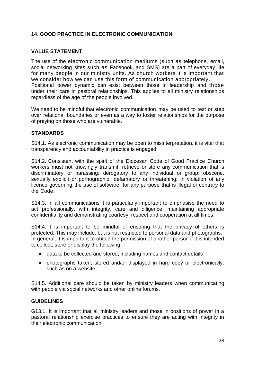# **14**. **GOOD PRACTICE IN ELECTRONIC COMMUNICATION**

#### **VALUE STATEMENT**

The use of the electronic communication mediums (such as telephone, email, social networking sites such as Facebook, and SMS) are a part of everyday life for many people in our ministry units. As church workers it is important that we consider how we can use this form of communication appropriately. Positional power dynamic can exist between those in leadership and those under their care in pastoral relationships. This applies to all ministry relationships regardless of the age of the people involved.

We need to be mindful that electronic communication may be used to test or step over relational boundaries or even as a way to foster relationships for the purpose of preying on those who are vulnerable.

#### **STANDARDS**

S14.1. As electronic communication may be open to misinterpretation, it is vital that transparency and accountability in practice is engaged.

S14.2. Consistent with the spirit of the Diocesan Code of Good Practice Church workers must not knowingly transmit, retrieve or store any communication that is discriminatory or harassing; derogatory to any individual or group; obscene, sexually explicit or pornographic; defamatory or threatening; in violation of any licence governing the use of software; for any purpose that is illegal or contrary to the Code.

S14.3. In all communications it is particularly important to emphasise the need to act professionally, with integrity, care and diligence, maintaining appropriate confidentiality and demonstrating courtesy, respect and cooperation at all times.

S14.4. It is important to be mindful of ensuring that the privacy of others is protected. This may include, but is not restricted to personal data and photographs. In general, it is important to obtain the permission of another person if it is intended to collect, store or display the following:

- data to be collected and stored, including names and contact details
- photographs taken, stored and/or displayed in hard copy or electronically, such as on a website

S14.5. Additional care should be taken by ministry leaders when communicating with people via social networks and other online forums.

#### **GUIDELINES**

G13.1. It is important that all ministry leaders and those in positions of power in a pastoral relationship exercise practices to ensure they are acting with integrity in their electronic communication.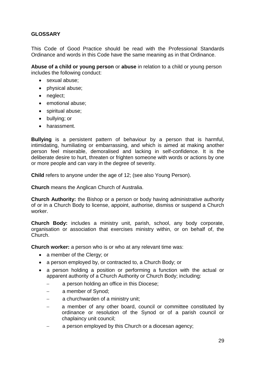# **GLOSSARY**

This Code of Good Practice should be read with the Professional Standards Ordinance and words in this Code have the same meaning as in that Ordinance.

**Abuse of a child or young person** or **abuse** in relation to a child or young person includes the following conduct:

- sexual abuse:
- physical abuse:
- neglect;
- emotional abuse;
- spiritual abuse;
- bullying; or
- harassment.

**Bullying** is a persistent pattern of behaviour by a person that is harmful, intimidating, humiliating or embarrassing, and which is aimed at making another person feel miserable, demoralised and lacking in self-confidence. It is the deliberate desire to hurt, threaten or frighten someone with words or actions by one or more people and can vary in the degree of severity.

**Child** refers to anyone under the age of 12; (see also Young Person).

**Church** means the Anglican Church of Australia.

**Church Authority:** the Bishop or a person or body having administrative authority of or in a Church Body to license, appoint, authorise, dismiss or suspend a Church worker.

**Church Body:** includes a ministry unit, parish, school, any body corporate, organisation or association that exercises ministry within, or on behalf of, the Church.

**Church worker:** a person who is or who at any relevant time was:

- a member of the Clergy; or
- a person employed by, or contracted to, a Church Body; or
- a person holding a position or performing a function with the actual or apparent authority of a Church Authority or Church Body; including:
	- a person holding an office in this Diocese;
	- a member of Synod;
	- a churchwarden of a ministry unit;
	- a member of any other board, council or committee constituted by ordinance or resolution of the Synod or of a parish council or chaplaincy unit council;
	- a person employed by this Church or a diocesan agency;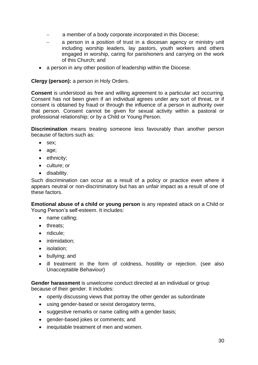- a member of a body corporate incorporated in this Diocese;
- a person in a position of trust in a diocesan agency or ministry unit including worship leaders, lay pastors, youth workers and others engaged in worship, caring for parishioners and carrying on the work of this Church; and
- a person in any other position of leadership within the Diocese.

#### **Clergy (person):** a person in Holy Orders.

**Consent** is understood as free and willing agreement to a particular act occurring. Consent has not been given if an individual agrees under any sort of threat, or if consent is obtained by fraud or through the influence of a person in authority over that person. Consent cannot be given for sexual activity within a pastoral or professional relationship; or by a Child or Young Person.

**Discrimination** means treating someone less favourably than another person because of factors such as:

- $\bullet$  sex;
- age;
- ethnicity;
- culture; or
- disability.

Such discrimination can occur as a result of a policy or practice even where it appears neutral or non-discriminatory but has an unfair impact as a result of one of these factors.

**Emotional abuse of a child or young person** is any repeated attack on a Child or Young Person's self-esteem. It includes:

- name calling;
- threats:
- ridicule:
- intimidation;
- isolation;
- bullying; and
- ill treatment in the form of coldness, hostility or rejection. (see also Unacceptable Behaviour)

**Gender harassment** is unwelcome conduct directed at an individual or group because of their gender. It includes:

- openly discussing views that portray the other gender as subordinate
- using gender-based or sexist derogatory terms,
- suggestive remarks or name calling with a gender basis;
- gender-based jokes or comments; and
- inequitable treatment of men and women.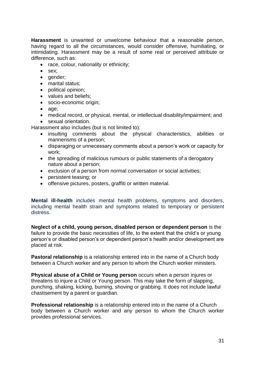**Harassment** is unwanted or unwelcome behaviour that a reasonable person, having regard to all the circumstances, would consider offensive, humiliating, or intimidating. Harassment may be a result of some real or perceived attribute or difference, such as:

- race, colour, nationality or ethnicity;
- sex:
- gender;
- marital status:
- political opinion;
- values and beliefs:
- socio-economic origin;
- age:
- medical record, or physical, mental, or intellectual disability/impairment; and
- sexual orientation.

Harassment also includes (but is not limited to):

- insulting comments about the physical characteristics, abilities or mannerisms of a person;
- disparaging or unnecessary comments about a person's work or capacity for work;
- the spreading of malicious rumours or public statements of a derogatory nature about a person;
- exclusion of a person from normal conversation or social activities;
- persistent teasing; or
- offensive pictures, posters, graffiti or written material.

**Mental ill-health** includes mental health problems, symptoms and disorders, including mental health strain and symptoms related to temporary or persistent distress.

**Neglect of a child, young person, disabled person or dependent person** is the failure to provide the basic necessities of life, to the extent that the child's or young person's or disabled person's or dependent person's health and/or development are placed at risk.

**Pastoral relationship** is a relationship entered into in the name of a Church body between a Church worker and any person to whom the Church worker ministers.

**Physical abuse of a Child or Young person** occurs when a person injures or threatens to injure a Child or Young person. This may take the form of slapping, punching, shaking, kicking, burning, shoving or grabbing. It does not include lawful chastisement by a parent or guardian.

**Professional relationship** is a relationship entered into in the name of a Church body between a Church worker and any person to whom the Church worker provides professional services.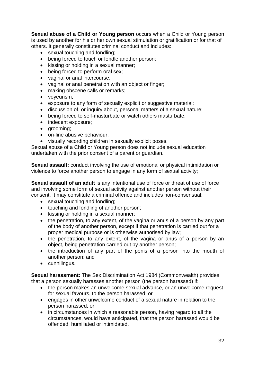**Sexual abuse of a Child or Young person** occurs when a Child or Young person is used by another for his or her own sexual stimulation or gratification or for that of others. It generally constitutes criminal conduct and includes:

- sexual touching and fondling;
- being forced to touch or fondle another person;
- kissing or holding in a sexual manner;
- being forced to perform oral sex;
- vaginal or anal intercourse;
- vaginal or anal penetration with an object or finger;
- making obscene calls or remarks;
- voyeurism;
- exposure to any form of sexually explicit or suggestive material;
- discussion of, or inquiry about, personal matters of a sexual nature;
- being forced to self-masturbate or watch others masturbate;
- indecent exposure:
- grooming;
- on-line abusive behaviour.
- visually recording children in sexually explicit poses.

Sexual abuse of a Child or Young person does not include sexual education undertaken with the prior consent of a parent or guardian.

**Sexual assault:** conduct involving the use of emotional or physical intimidation or violence to force another person to engage in any form of sexual activity;

**Sexual assault of an adult** is any intentional use of force or threat of use of force and involving some form of sexual activity against another person without their consent. It may constitute a criminal offence and includes non-consensual:

- sexual touching and fondling;
- touching and fondling of another person;
- kissing or holding in a sexual manner;
- the penetration, to any extent, of the vagina or anus of a person by any part of the body of another person, except if that penetration is carried out for a proper medical purpose or is otherwise authorised by law;
- the penetration, to any extent, of the vagina or anus of a person by an object, being penetration carried out by another person;
- the introduction of any part of the penis of a person into the mouth of another person; and
- cunnilingus.

**Sexual harassment:** The Sex Discrimination Act 1984 (Commonwealth) provides that a person sexually harasses another person (the person harassed) if:

- the person makes an unwelcome sexual advance, or an unwelcome request for sexual favours, to the person harassed; or
- engages in other unwelcome conduct of a sexual nature in relation to the person harassed; or
- in circumstances in which a reasonable person, having regard to all the circumstances, would have anticipated, that the person harassed would be offended, humiliated or intimidated.